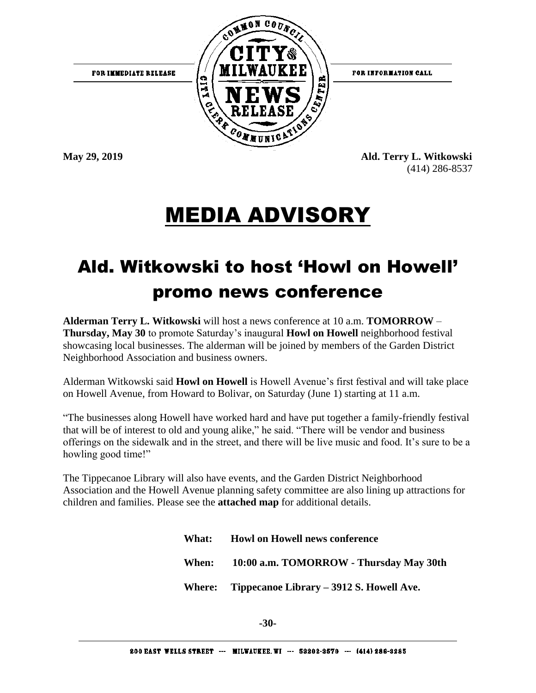

FOR INFORMATION CALL

FOR IMMEDIATE RELEASE

**May 29, 2019 Ald. Terry L. Witkowski** (414) 286-8537

## MEDIA ADVISORY

## Ald. Witkowski to host 'Howl on Howell' promo news conference

**Alderman Terry L. Witkowski** will host a news conference at 10 a.m. **TOMORROW** – **Thursday, May 30** to promote Saturday's inaugural **Howl on Howell** neighborhood festival showcasing local businesses. The alderman will be joined by members of the Garden District Neighborhood Association and business owners.

Alderman Witkowski said **Howl on Howell** is Howell Avenue's first festival and will take place on Howell Avenue, from Howard to Bolivar, on Saturday (June 1) starting at 11 a.m.

"The businesses along Howell have worked hard and have put together a family-friendly festival that will be of interest to old and young alike," he said. "There will be vendor and business offerings on the sidewalk and in the street, and there will be live music and food. It's sure to be a howling good time!"

The Tippecanoe Library will also have events, and the Garden District Neighborhood Association and the Howell Avenue planning safety committee are also lining up attractions for children and families. Please see the **attached map** for additional details.

> **What: Howl on Howell news conference When: 10:00 a.m. TOMORROW - Thursday May 30th Where: Tippecanoe Library – 3912 S. Howell Ave.**

> > **-30-**